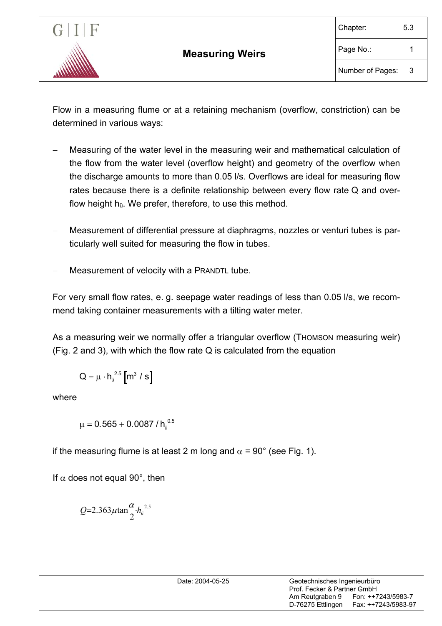

Flow in a measuring flume or at a retaining mechanism (overflow, constriction) can be determined in various ways:

- Measuring of the water level in the measuring weir and mathematical calculation of the flow from the water level (overflow height) and geometry of the overflow when the discharge amounts to more than 0.05 l/s. Overflows are ideal for measuring flow rates because there is a definite relationship between every flow rate Q and overflow height  $h_{ij}$ . We prefer, therefore, to use this method.
- − Measurement of differential pressure at diaphragms, nozzles or venturi tubes is particularly well suited for measuring the flow in tubes.
- Measurement of velocity with a PRANDTL tube.

For very small flow rates, e. g. seepage water readings of less than 0.05 l/s, we recommend taking container measurements with a tilting water meter.

As a measuring weir we normally offer a triangular overflow (THOMSON measuring weir) (Fig. 2 and 3), with which the flow rate Q is calculated from the equation

$$
Q = \mu \cdot h_{\text{u}}^{2.5} \left[ m^3 / s \right]
$$

where

$$
\mu = 0.565 + 0.0087 \,/\, h_{\tilde{u}}^{\,\,0.5}
$$

if the measuring flume is at least 2 m long and  $\alpha$  = 90° (see Fig. 1).

If  $\alpha$  does not equal 90°, then

$$
Q=2.363\mu\tan\frac{\alpha}{2}h_{ii}^{2.5}
$$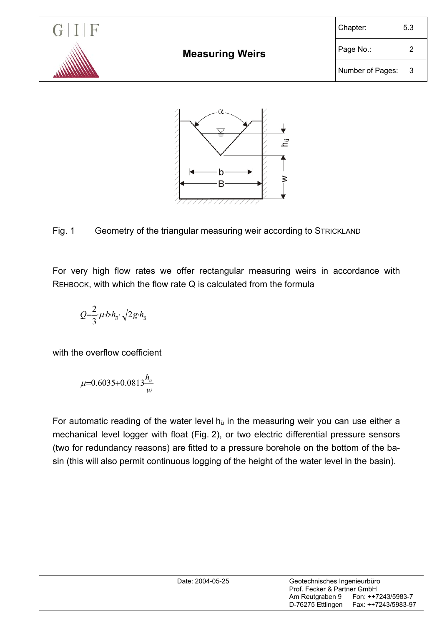

## Fig. 1 Geometry of the triangular measuring weir according to STRICKLAND

For very high flow rates we offer rectangular measuring weirs in accordance with REHBOCK, with which the flow rate Q is calculated from the formula

$$
Q=\frac{2}{3}\mu\cdot b\cdot h_{ii}\cdot\sqrt{2g\cdot h_{ii}}
$$

with the overflow coefficient

$$
\mu = 0.6035 + 0.0813 \frac{h_{ii}}{w}
$$

For automatic reading of the water level  $h_{ij}$  in the measuring weir you can use either a mechanical level logger with float (Fig. 2), or two electric differential pressure sensors (two for redundancy reasons) are fitted to a pressure borehole on the bottom of the basin (this will also permit continuous logging of the height of the water level in the basin).

| Date: 2004-05-25 | Geotechnisches Ingenieurbüro<br>Prof. Fecker & Partner GmbH |                                           |
|------------------|-------------------------------------------------------------|-------------------------------------------|
|                  | Am Reutgraben 9<br>D-76275 Ettlingen                        | Fon: ++7243/5983-7<br>Fax: ++7243/5983-97 |